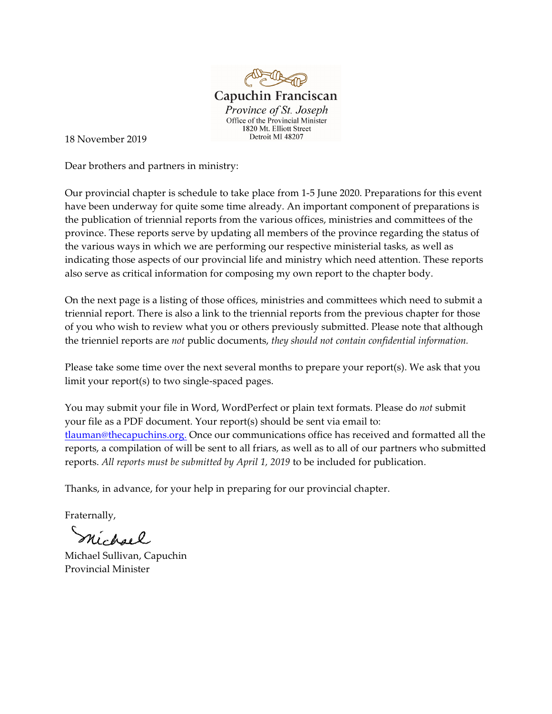

18 November 2019

Dear brothers and partners in ministry:

Our provincial chapter is schedule to take place from 1-5 June 2020. Preparations for this event have been underway for quite some time already. An important component of preparations is the publication of triennial reports from the various offices, ministries and committees of the province. These reports serve by updating all members of the province regarding the status of the various ways in which we are performing our respective ministerial tasks, as well as indicating those aspects of our provincial life and ministry which need attention. These reports also serve as critical information for composing my own report to the chapter body.

On the next page is a listing of those offices, ministries and committees which need to submit a triennial report. There is also a link to the triennial reports from the previous chapter for those of you who wish to review what you or others previously submitted. Please note that although the trienniel reports are *not* public documents, *they should not contain confidential information.*

Please take some time over the next several months to prepare your report(s). We ask that you limit your report(s) to two single-spaced pages.

You may submit your file in Word, WordPerfect or plain text formats. Please do *not* submit your file as a PDF document. Your report(s) should be sent via email to: [tlauman@thecapuchins.org.](mailto:tlauman@thecapuchins.org.) Once our communications office has received and formatted all the reports, a compilation of will be sent to all friars, as well as to all of our partners who submitted reports. *All reports must be submitted by April 1, 2019* to be included for publication.

Thanks, in advance, for your help in preparing for our provincial chapter.

Fraternally,

nichael

Michael Sullivan, Capuchin Provincial Minister